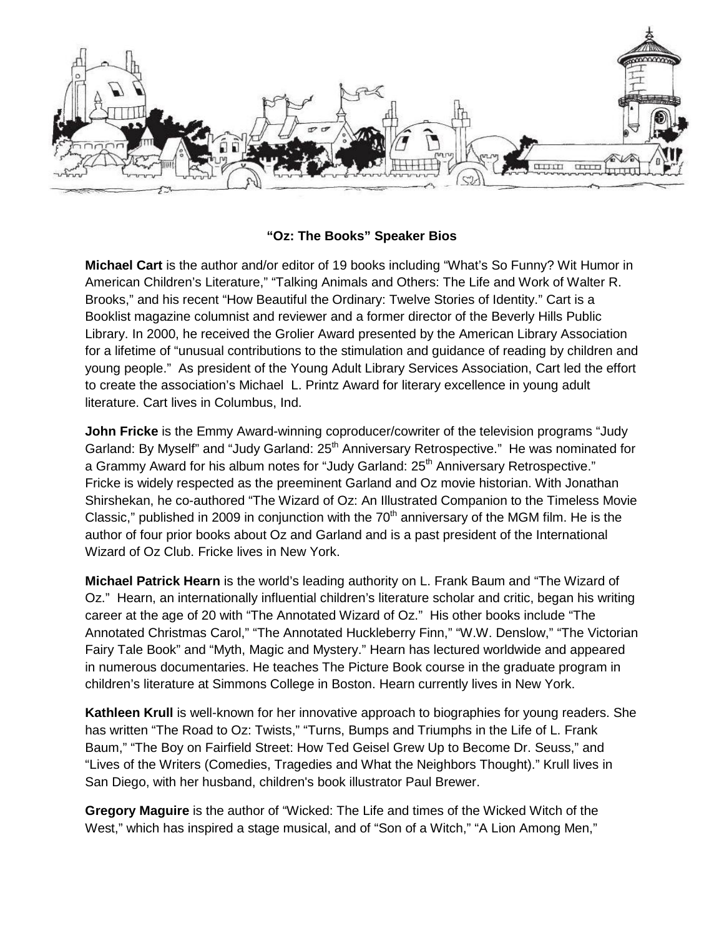

## **"Oz: The Books" Speaker Bios**

**Michael Cart** is the author and/or editor of 19 books including "What's So Funny? Wit Humor in American Children's Literature," "Talking Animals and Others: The Life and Work of Walter R. Brooks," and his recent "How Beautiful the Ordinary: Twelve Stories of Identity." Cart is a Booklist magazine columnist and reviewer and a former director of the Beverly Hills Public Library. In 2000, he received the Grolier Award presented by the American Library Association for a lifetime of "unusual contributions to the stimulation and guidance of reading by children and young people." As president of the Young Adult Library Services Association, Cart led the effort to create the association's Michael L. Printz Award for literary excellence in young adult literature. Cart lives in Columbus, Ind.

**John Fricke** is the Emmy Award-winning coproducer/cowriter of the television programs "Judy Garland: By Myself" and "Judy Garland: 25<sup>th</sup> Anniversary Retrospective." He was nominated for a Grammy Award for his album notes for "Judy Garland: 25<sup>th</sup> Anniversary Retrospective." Fricke is widely respected as the preeminent Garland and Oz movie historian. With Jonathan Shirshekan, he co-authored "The Wizard of Oz: An Illustrated Companion to the Timeless Movie Classic," published in 2009 in conjunction with the  $70<sup>th</sup>$  anniversary of the MGM film. He is the author of four prior books about Oz and Garland and is a past president of the International Wizard of Oz Club. Fricke lives in New York.

**Michael Patrick Hearn** is the world's leading authority on L. Frank Baum and "The Wizard of Oz." Hearn, an internationally influential children's literature scholar and critic, began his writing career at the age of 20 with "The Annotated Wizard of Oz." His other books include "The Annotated Christmas Carol," "The Annotated Huckleberry Finn," "W.W. Denslow," "The Victorian Fairy Tale Book" and "Myth, Magic and Mystery." Hearn has lectured worldwide and appeared in numerous documentaries. He teaches The Picture Book course in the graduate program in children's literature at Simmons College in Boston. Hearn currently lives in New York.

**Kathleen Krull** is well-known for her innovative approach to biographies for young readers. She has written "The Road to Oz: Twists," "Turns, Bumps and Triumphs in the Life of L. Frank Baum," "The Boy on Fairfield Street: How Ted Geisel Grew Up to Become Dr. Seuss," and "Lives of the Writers (Comedies, Tragedies and What the Neighbors Thought)." Krull lives in San Diego, with her husband, children's book illustrator Paul Brewer.

**Gregory Maguire** is the author of "Wicked: The Life and times of the Wicked Witch of the West," which has inspired a stage musical, and of "Son of a Witch," "A Lion Among Men,"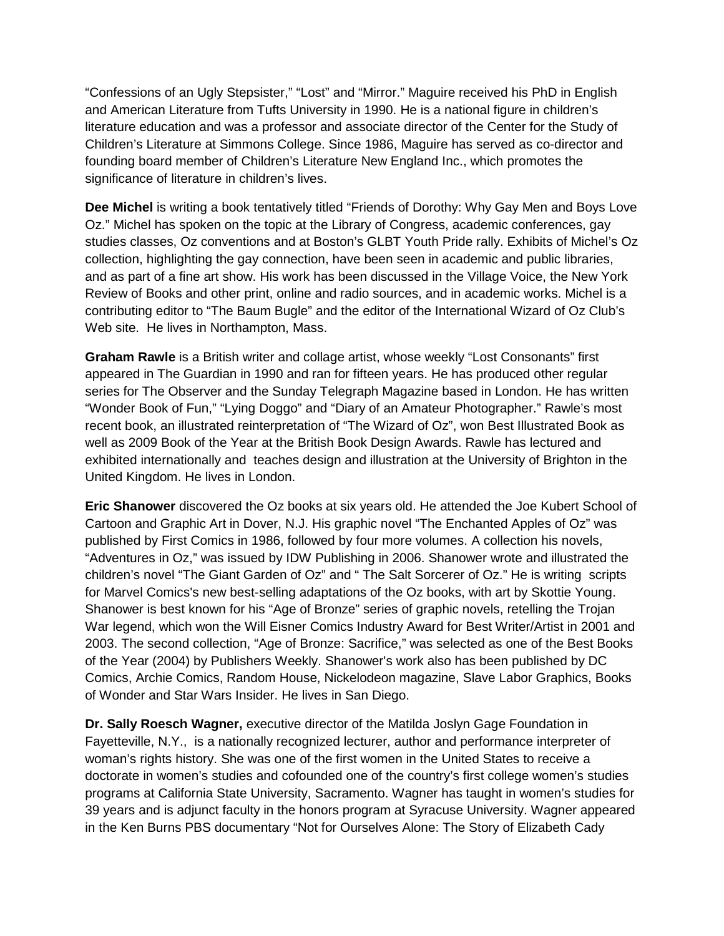"Confessions of an Ugly Stepsister," "Lost" and "Mirror." Maguire received his PhD in English and American Literature from Tufts University in 1990. He is a national figure in children's literature education and was a professor and associate director of the Center for the Study of Children's Literature at Simmons College. Since 1986, Maguire has served as co-director and founding board member of Children's Literature New England Inc., which promotes the significance of literature in children's lives.

**Dee Michel** is writing a book tentatively titled "Friends of Dorothy: Why Gay Men and Boys Love Oz." Michel has spoken on the topic at the Library of Congress, academic conferences, gay studies classes, Oz conventions and at Boston's GLBT Youth Pride rally. Exhibits of Michel's Oz collection, highlighting the gay connection, have been seen in academic and public libraries, and as part of a fine art show. His work has been discussed in the Village Voice, the New York Review of Books and other print, online and radio sources, and in academic works. Michel is a contributing editor to "The Baum Bugle" and the editor of the International Wizard of Oz Club's Web site. He lives in Northampton, Mass.

**Graham Rawle** is a British writer and collage artist, whose weekly "Lost Consonants" first appeared in The Guardian in 1990 and ran for fifteen years. He has produced other regular series for The Observer and the Sunday Telegraph Magazine based in London. He has written "Wonder Book of Fun," "Lying Doggo" and "Diary of an Amateur Photographer." Rawle's most recent book, an illustrated reinterpretation of "The Wizard of Oz", won Best Illustrated Book as well as 2009 Book of the Year at the British Book Design Awards. Rawle has lectured and exhibited internationally and teaches design and illustration at the University of Brighton in the United Kingdom. He lives in London.

**Eric Shanower** discovered the Oz books at six years old. He attended the Joe Kubert School of Cartoon and Graphic Art in Dover, N.J. His graphic novel "The Enchanted Apples of Oz" was published by First Comics in 1986, followed by four more volumes. A collection his novels, "Adventures in Oz," was issued by IDW Publishing in 2006. Shanower wrote and illustrated the children's novel "The Giant Garden of Oz" and " The Salt Sorcerer of Oz." He is writing scripts for Marvel Comics's new best-selling adaptations of the Oz books, with art by Skottie Young. Shanower is best known for his "Age of Bronze" series of graphic novels, retelling the Trojan War legend, which won the Will Eisner Comics Industry Award for Best Writer/Artist in 2001 and 2003. The second collection, "Age of Bronze: Sacrifice," was selected as one of the Best Books of the Year (2004) by Publishers Weekly. Shanower's work also has been published by DC Comics, Archie Comics, Random House, Nickelodeon magazine, Slave Labor Graphics, Books of Wonder and Star Wars Insider. He lives in San Diego.

**Dr. Sally Roesch Wagner,** executive director of the Matilda Joslyn Gage Foundation in Fayetteville, N.Y., is a nationally recognized lecturer, author and performance interpreter of woman's rights history. She was one of the first women in the United States to receive a doctorate in women's studies and cofounded one of the country's first college women's studies programs at California State University, Sacramento. Wagner has taught in women's studies for 39 years and is adjunct faculty in the honors program at Syracuse University. Wagner appeared in the Ken Burns PBS documentary "Not for Ourselves Alone: The Story of Elizabeth Cady